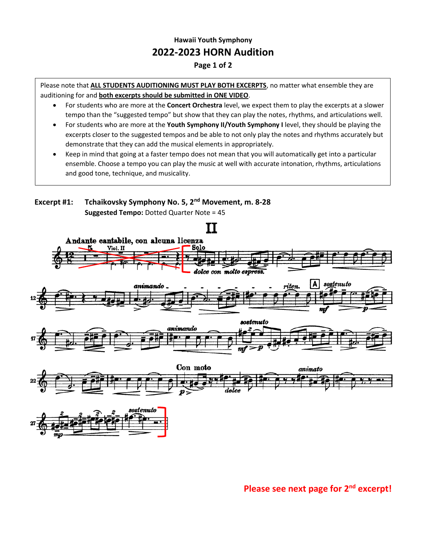## **Hawaii Youth Symphony 2022-2023 HORN Audition**

## **Page 1 of 2**

Please note that **ALL STUDENTS AUDITIONING MUST PLAY BOTH EXCERPTS**, no matter what ensemble they are auditioning for and **both excerpts should be submitted in ONE VIDEO**.

- For students who are more at the **Concert Orchestra** level, we expect them to play the excerpts at a slower tempo than the "suggested tempo" but show that they can play the notes, rhythms, and articulations well.
- For students who are more at the **Youth Symphony II/Youth Symphony I** level, they should be playing the excerpts closer to the suggested tempos and be able to not only play the notes and rhythms accurately but demonstrate that they can add the musical elements in appropriately.
- Keep in mind that going at a faster tempo does not mean that you will automatically get into a particular ensemble. Choose a tempo you can play the music at well with accurate intonation, rhythms, articulations and good tone, technique, and musicality.



## **Please see next page for 2nd excerpt!**